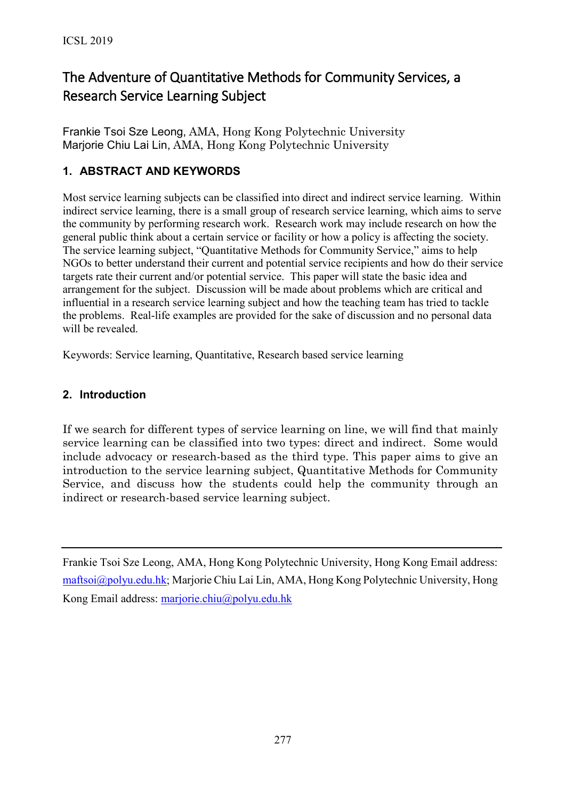# The Adventure of Quantitative Methods for Community Services, a Research Service Learning Subject

Frankie Tsoi Sze Leong, AMA, Hong Kong Polytechnic University Marjorie Chiu Lai Lin, AMA, Hong Kong Polytechnic University

## **1. ABSTRACT AND KEYWORDS**

Most service learning subjects can be classified into direct and indirect service learning. Within indirect service learning, there is a small group of research service learning, which aims to serve the community by performing research work. Research work may include research on how the general public think about a certain service or facility or how a policy is affecting the society. The service learning subject, "Quantitative Methods for Community Service," aims to help NGOs to better understand their current and potential service recipients and how do their service targets rate their current and/or potential service. This paper will state the basic idea and arrangement for the subject. Discussion will be made about problems which are critical and influential in a research service learning subject and how the teaching team has tried to tackle the problems. Real-life examples are provided for the sake of discussion and no personal data will be revealed.

Keywords: Service learning, Quantitative, Research based service learning

#### **2. Introduction**

If we search for different types of service learning on line, we will find that mainly service learning can be classified into two types: direct and indirect. Some would include advocacy or research-based as the third type. This paper aims to give an introduction to the service learning subject, Quantitative Methods for Community Service, and discuss how the students could help the community through an indirect or research-based service learning subject.

Frankie Tsoi Sze Leong, AMA, Hong Kong Polytechnic University, Hong Kong Email address: [maftsoi@polyu.edu.hk](mailto:maftsoi@polyu.edu.hk); Marjorie Chiu Lai Lin, AMA, Hong Kong Polytechnic University, Hong Kong Email address: [marjorie.chiu@polyu.edu.hk](mailto:marjorie.chiu@polyu.edu.hk)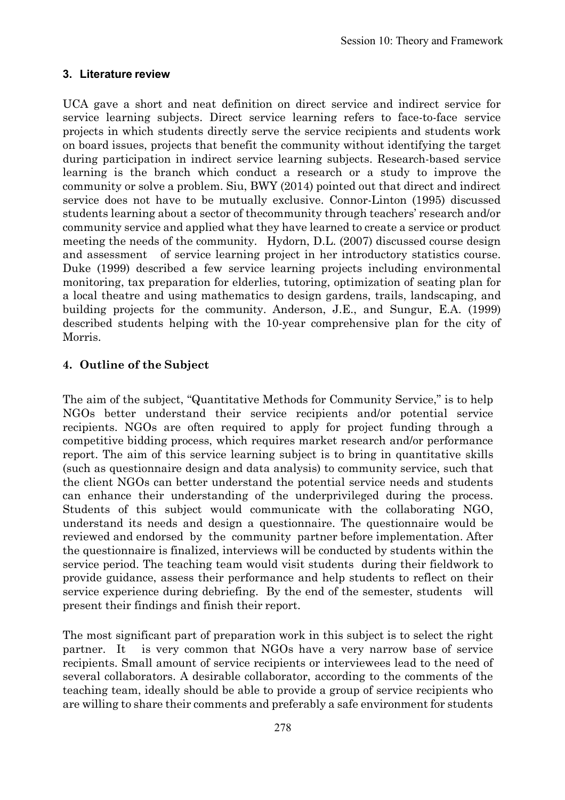### **3. Literature review**

UCA gave a short and neat definition on direct service and indirect service for service learning subjects. Direct service learning refers to face-to-face service projects in which students directly serve the service recipients and students work on board issues, projects that benefit the community without identifying the target during participation in indirect service learning subjects. Research-based service learning is the branch which conduct a research or a study to improve the community or solve a problem. Siu, BWY (2014) pointed out that direct and indirect service does not have to be mutually exclusive. Connor-Linton (1995) discussed students learning about a sector of thecommunity through teachers' research and/or community service and applied what they have learned to create a service or product meeting the needs of the community. Hydorn, D.L. (2007) discussed course design and assessment of service learning project in her introductory statistics course. Duke (1999) described a few service learning projects including environmental monitoring, tax preparation for elderlies, tutoring, optimization of seating plan for a local theatre and using mathematics to design gardens, trails, landscaping, and building projects for the community. Anderson, J.E., and Sungur, E.A. (1999) described students helping with the 10-year comprehensive plan for the city of Morris.

## **4. Outline of the Subject**

The aim of the subject, "Quantitative Methods for Community Service," is to help NGOs better understand their service recipients and/or potential service recipients. NGOs are often required to apply for project funding through a competitive bidding process, which requires market research and/or performance report. The aim of this service learning subject is to bring in quantitative skills (such as questionnaire design and data analysis) to community service, such that the client NGOs can better understand the potential service needs and students can enhance their understanding of the underprivileged during the process. Students of this subject would communicate with the collaborating NGO, understand its needs and design a questionnaire. The questionnaire would be reviewed and endorsed by the community partner before implementation. After the questionnaire is finalized, interviews will be conducted by students within the service period. The teaching team would visit students during their fieldwork to provide guidance, assess their performance and help students to reflect on their service experience during debriefing. By the end of the semester, students will present their findings and finish their report.

The most significant part of preparation work in this subject is to select the right partner. It is very common that NGOs have a very narrow base of service recipients. Small amount of service recipients or interviewees lead to the need of several collaborators. A desirable collaborator, according to the comments of the teaching team, ideally should be able to provide a group of service recipients who are willing to share their comments and preferably a safe environment for students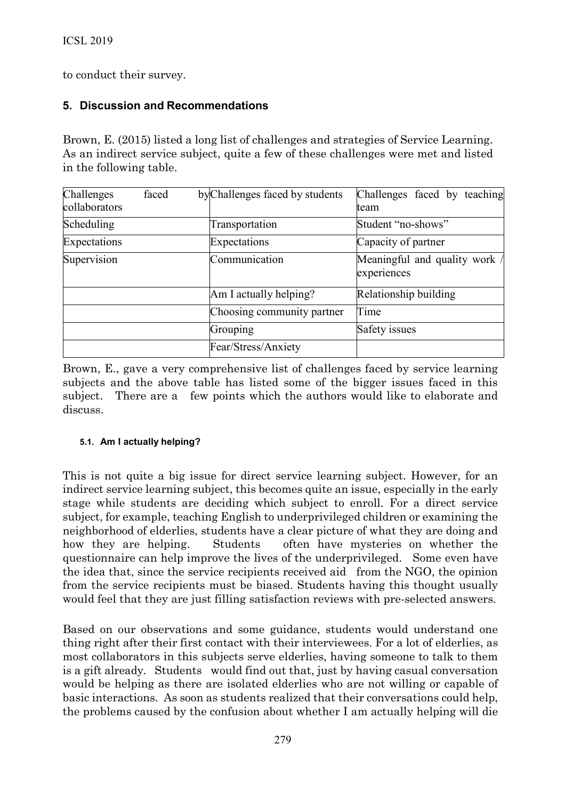to conduct their survey.

#### **5. Discussion and Recommendations**

Brown, E. (2015) listed a long list of challenges and strategies of Service Learning. As an indirect service subject, quite a few of these challenges were met and listed in the following table.

| Challenges<br>collaborators | faced | by Challenges faced by students | Challenges faced by teaching<br>team         |
|-----------------------------|-------|---------------------------------|----------------------------------------------|
| Scheduling                  |       | Transportation                  | Student "no-shows"                           |
| Expectations                |       | Expectations                    | Capacity of partner                          |
| Supervision                 |       | Communication                   | Meaningful and quality work /<br>experiences |
|                             |       | Am I actually helping?          | Relationship building                        |
|                             |       | Choosing community partner      | Time                                         |
|                             |       | Grouping                        | Safety issues                                |
|                             |       | Fear/Stress/Anxiety             |                                              |

Brown, E., gave a very comprehensive list of challenges faced by service learning subjects and the above table has listed some of the bigger issues faced in this subject. There are a few points which the authors would like to elaborate and discuss.

#### **5.1. Am I actually helping?**

This is not quite a big issue for direct service learning subject. However, for an indirect service learning subject, this becomes quite an issue, especially in the early stage while students are deciding which subject to enroll. For a direct service subject, for example, teaching English to underprivileged children or examining the neighborhood of elderlies, students have a clear picture of what they are doing and how they are helping. Students often have mysteries on whether the questionnaire can help improve the lives of the underprivileged. Some even have the idea that, since the service recipients received aid from the NGO, the opinion from the service recipients must be biased. Students having this thought usually would feel that they are just filling satisfaction reviews with pre-selected answers.

Based on our observations and some guidance, students would understand one thing right after their first contact with their interviewees. For a lot of elderlies, as most collaborators in this subjects serve elderlies, having someone to talk to them is a gift already. Students would find out that, just by having casual conversation would be helping as there are isolated elderlies who are not willing or capable of basic interactions. As soon as students realized that their conversations could help, the problems caused by the confusion about whether I am actually helping will die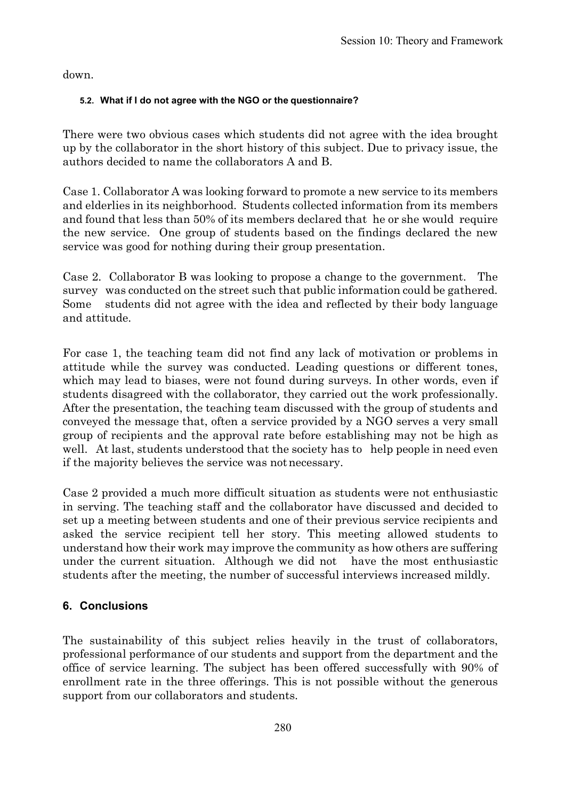down.

#### **5.2. What if I do not agree with the NGO or the questionnaire?**

There were two obvious cases which students did not agree with the idea brought up by the collaborator in the short history of this subject. Due to privacy issue, the authors decided to name the collaborators A and B.

Case 1. Collaborator A was looking forward to promote a new service to its members and elderlies in its neighborhood. Students collected information from its members and found that less than 50% of its members declared that he or she would require the new service. One group of students based on the findings declared the new service was good for nothing during their group presentation.

Case 2. Collaborator B was looking to propose a change to the government. The survey was conducted on the street such that public information could be gathered. Some students did not agree with the idea and reflected by their body language and attitude.

For case 1, the teaching team did not find any lack of motivation or problems in attitude while the survey was conducted. Leading questions or different tones, which may lead to biases, were not found during surveys. In other words, even if students disagreed with the collaborator, they carried out the work professionally. After the presentation, the teaching team discussed with the group of students and conveyed the message that, often a service provided by a NGO serves a very small group of recipients and the approval rate before establishing may not be high as well. At last, students understood that the society has to help people in need even if the majority believes the service was notnecessary.

Case 2 provided a much more difficult situation as students were not enthusiastic in serving. The teaching staff and the collaborator have discussed and decided to set up a meeting between students and one of their previous service recipients and asked the service recipient tell her story. This meeting allowed students to understand how their work may improve the community as how others are suffering under the current situation. Although we did not have the most enthusiastic students after the meeting, the number of successful interviews increased mildly.

### **6. Conclusions**

The sustainability of this subject relies heavily in the trust of collaborators, professional performance of our students and support from the department and the office of service learning. The subject has been offered successfully with 90% of enrollment rate in the three offerings. This is not possible without the generous support from our collaborators and students.